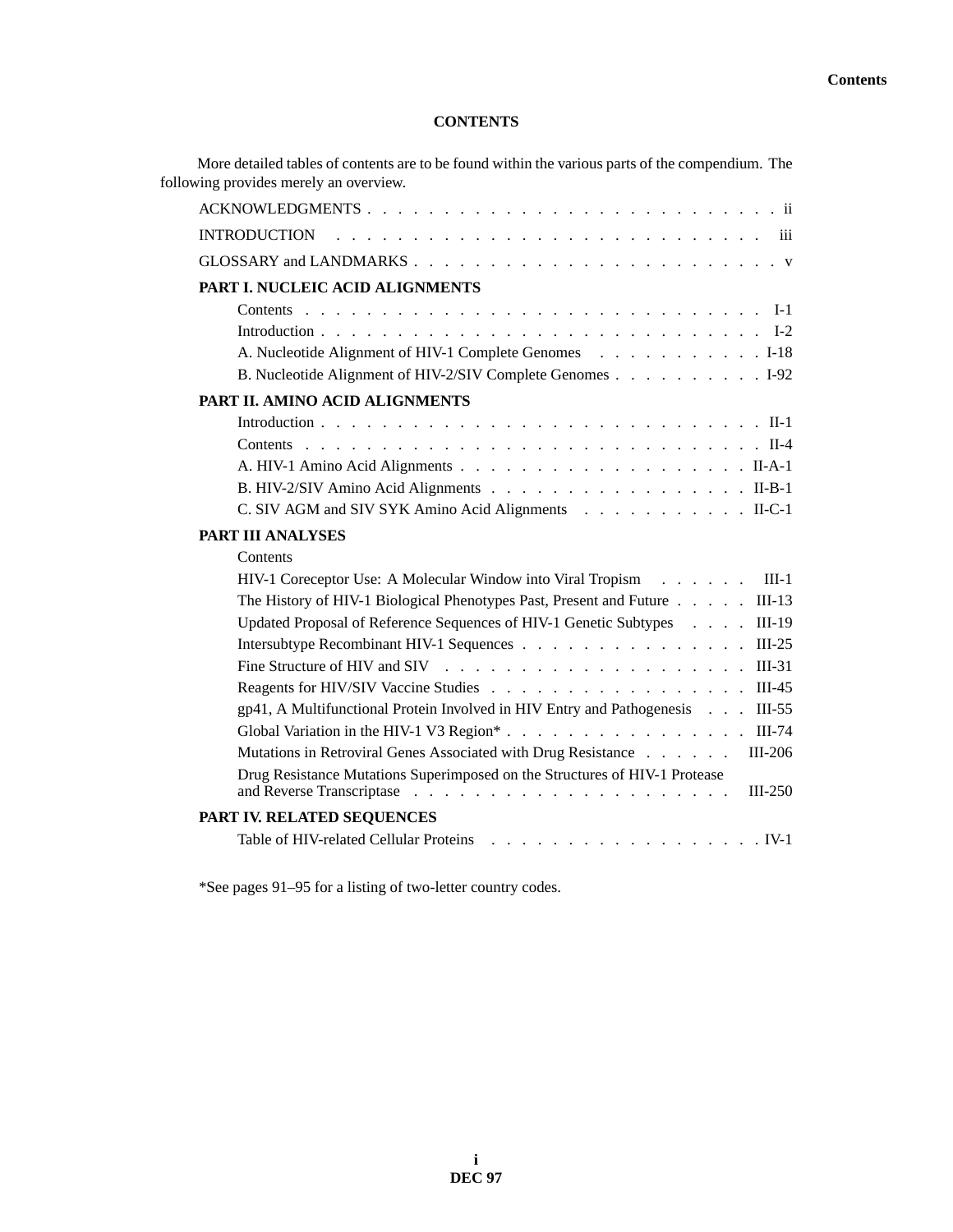### **CONTENTS**

| More detailed tables of contents are to be found within the various parts of the compendium. The<br>following provides merely an overview.                                                                                  |
|-----------------------------------------------------------------------------------------------------------------------------------------------------------------------------------------------------------------------------|
| ACKNOWLEDGMENTS                                                                                                                                                                                                             |
|                                                                                                                                                                                                                             |
|                                                                                                                                                                                                                             |
| PART I. NUCLEIC ACID ALIGNMENTS                                                                                                                                                                                             |
|                                                                                                                                                                                                                             |
|                                                                                                                                                                                                                             |
| A. Nucleotide Alignment of HIV-1 Complete Genomes 1-18                                                                                                                                                                      |
| B. Nucleotide Alignment of HIV-2/SIV Complete Genomes 1-92                                                                                                                                                                  |
| PART II. AMINO ACID ALIGNMENTS                                                                                                                                                                                              |
|                                                                                                                                                                                                                             |
|                                                                                                                                                                                                                             |
|                                                                                                                                                                                                                             |
| B. HIV-2/SIV Amino Acid Alignments II-B-1                                                                                                                                                                                   |
| C. SIV AGM and SIV SYK Amino Acid Alignments II-C-1                                                                                                                                                                         |
| PART III ANALYSES                                                                                                                                                                                                           |
| Contents                                                                                                                                                                                                                    |
| $III-1$<br>HIV-1 Coreceptor Use: A Molecular Window into Viral Tropism                                                                                                                                                      |
| The History of HIV-1 Biological Phenotypes Past, Present and Future<br>$III-13$                                                                                                                                             |
| Updated Proposal of Reference Sequences of HIV-1 Genetic Subtypes<br>$III-19$                                                                                                                                               |
| Intersubtype Recombinant HIV-1 Sequences<br>$III-25$                                                                                                                                                                        |
| $III-31$                                                                                                                                                                                                                    |
| $III-45$                                                                                                                                                                                                                    |
| gp41, A Multifunctional Protein Involved in HIV Entry and Pathogenesis<br>$III-55$                                                                                                                                          |
| Global Variation in the HIV-1 V3 Region*<br>$III-74$                                                                                                                                                                        |
| Mutations in Retroviral Genes Associated with Drug Resistance<br>III-206                                                                                                                                                    |
| Drug Resistance Mutations Superimposed on the Structures of HIV-1 Protease<br>$III-250$<br>and Reverse Transcriptase<br>$\mathcal{A}$ . The set of the set of the set of the set of the set of the set of the $\mathcal{A}$ |
| PART IV. RELATED SEQUENCES                                                                                                                                                                                                  |
| Table of HIV-related Cellular Proteins                                                                                                                                                                                      |

\*See pages 91–95 for a listing of two-letter country codes.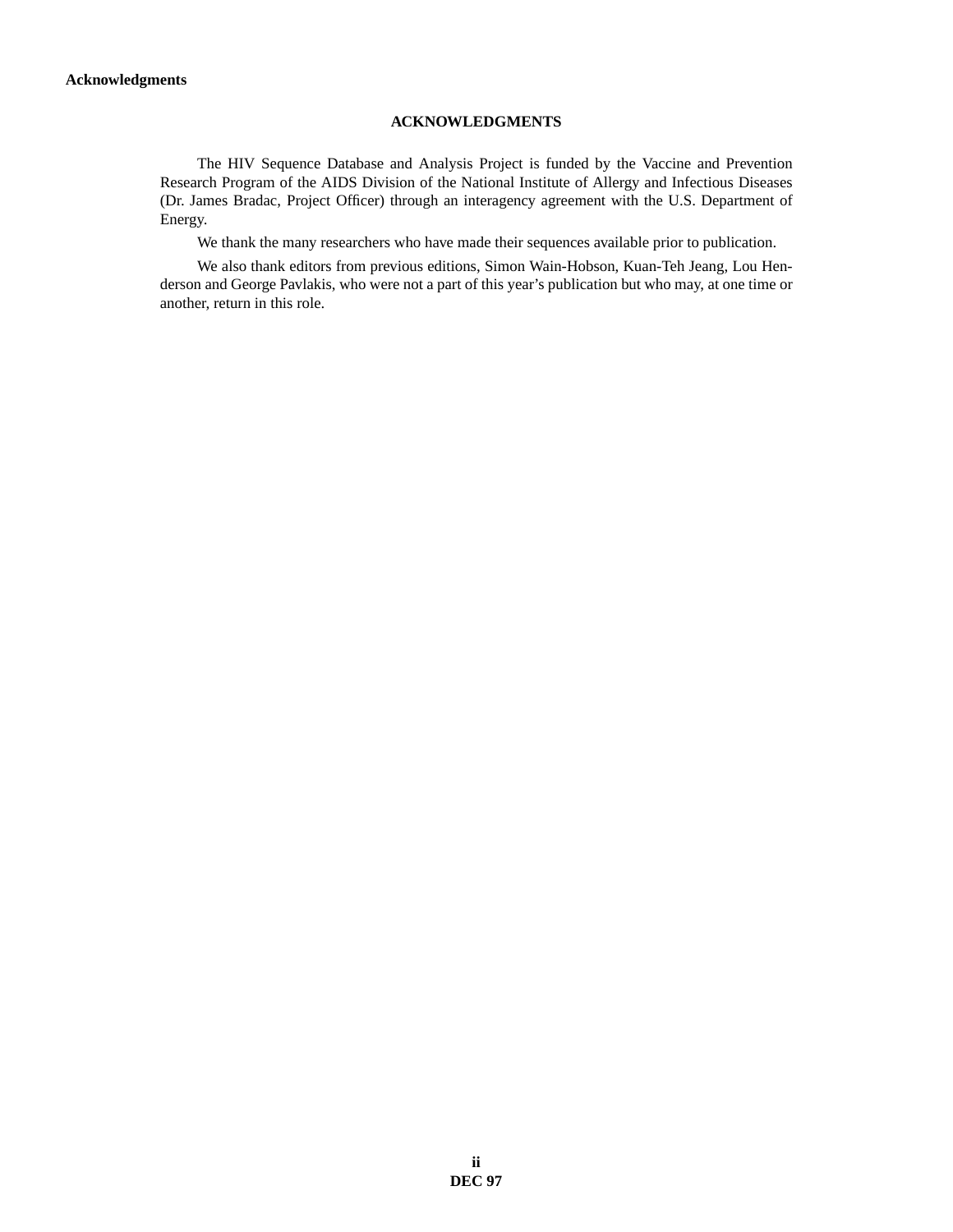### **ACKNOWLEDGMENTS**

The HIV Sequence Database and Analysis Project is funded by the Vaccine and Prevention Research Program of the AIDS Division of the National Institute of Allergy and Infectious Diseases (Dr. James Bradac, Project Officer) through an interagency agreement with the U.S. Department of Energy.

We thank the many researchers who have made their sequences available prior to publication.

We also thank editors from previous editions, Simon Wain-Hobson, Kuan-Teh Jeang, Lou Henderson and George Pavlakis, who were not a part of this year's publication but who may, at one time or another, return in this role.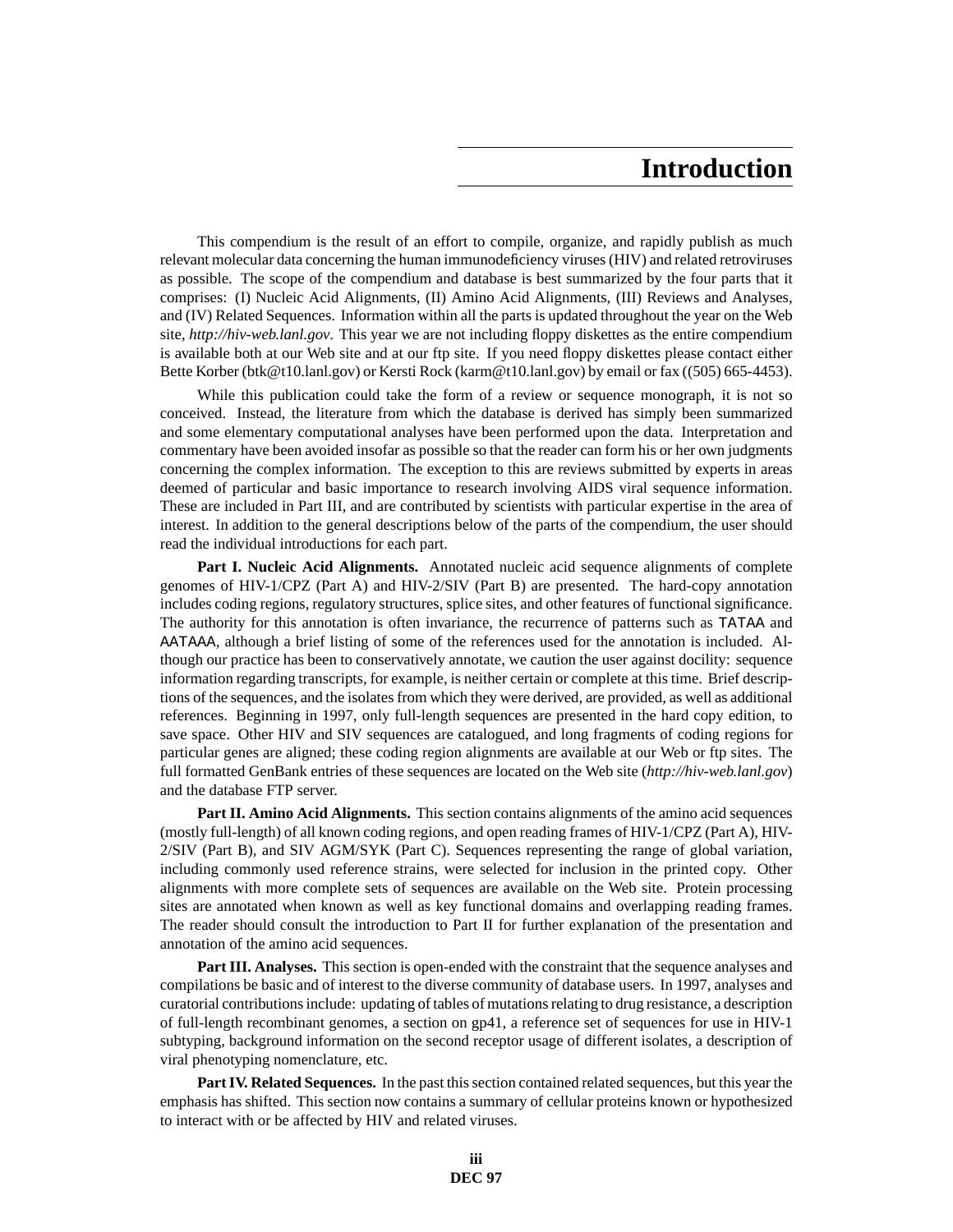# **Introduction**

This compendium is the result of an effort to compile, organize, and rapidly publish as much relevant molecular data concerning the human immunodeficiency viruses (HIV) and related retroviruses as possible. The scope of the compendium and database is best summarized by the four parts that it comprises: (I) Nucleic Acid Alignments, (II) Amino Acid Alignments, (III) Reviews and Analyses, and (IV) Related Sequences. Information within all the parts is updated throughout the year on the Web site, *http://hiv-web.lanl.gov*. This year we are not including floppy diskettes as the entire compendium is available both at our Web site and at our ftp site. If you need floppy diskettes please contact either Bette Korber (btk@t10.lanl.gov) or Kersti Rock (karm@t10.lanl.gov) by email or fax ((505) 665-4453).

While this publication could take the form of a review or sequence monograph, it is not so conceived. Instead, the literature from which the database is derived has simply been summarized and some elementary computational analyses have been performed upon the data. Interpretation and commentary have been avoided insofar as possible so that the reader can form his or her own judgments concerning the complex information. The exception to this are reviews submitted by experts in areas deemed of particular and basic importance to research involving AIDS viral sequence information. These are included in Part III, and are contributed by scientists with particular expertise in the area of interest. In addition to the general descriptions below of the parts of the compendium, the user should read the individual introductions for each part.

**Part I. Nucleic Acid Alignments.** Annotated nucleic acid sequence alignments of complete genomes of HIV-1/CPZ (Part A) and HIV-2/SIV (Part B) are presented. The hard-copy annotation includes coding regions, regulatory structures, splice sites, and other features of functional significance. The authority for this annotation is often invariance, the recurrence of patterns such as TATAA and AATAAA, although a brief listing of some of the references used for the annotation is included. Although our practice has been to conservatively annotate, we caution the user against docility: sequence information regarding transcripts, for example, is neither certain or complete at this time. Brief descriptions of the sequences, and the isolates from which they were derived, are provided, as well as additional references. Beginning in 1997, only full-length sequences are presented in the hard copy edition, to save space. Other HIV and SIV sequences are catalogued, and long fragments of coding regions for particular genes are aligned; these coding region alignments are available at our Web or ftp sites. The full formatted GenBank entries of these sequences are located on the Web site (*http://hiv-web.lanl.gov*) and the database FTP server.

**Part II. Amino Acid Alignments.** This section contains alignments of the amino acid sequences (mostly full-length) of all known coding regions, and open reading frames of HIV-1/CPZ (Part A), HIV-2/SIV (Part B), and SIV AGM/SYK (Part C). Sequences representing the range of global variation, including commonly used reference strains, were selected for inclusion in the printed copy. Other alignments with more complete sets of sequences are available on the Web site. Protein processing sites are annotated when known as well as key functional domains and overlapping reading frames. The reader should consult the introduction to Part II for further explanation of the presentation and annotation of the amino acid sequences.

**Part III. Analyses.** This section is open-ended with the constraint that the sequence analyses and compilations be basic and of interest to the diverse community of database users. In 1997, analyses and curatorial contributions include: updating of tables of mutations relating to drug resistance, a description of full-length recombinant genomes, a section on gp41, a reference set of sequences for use in HIV-1 subtyping, background information on the second receptor usage of different isolates, a description of viral phenotyping nomenclature, etc.

**Part IV. Related Sequences.** In the past this section contained related sequences, but this year the emphasis has shifted. This section now contains a summary of cellular proteins known or hypothesized to interact with or be affected by HIV and related viruses.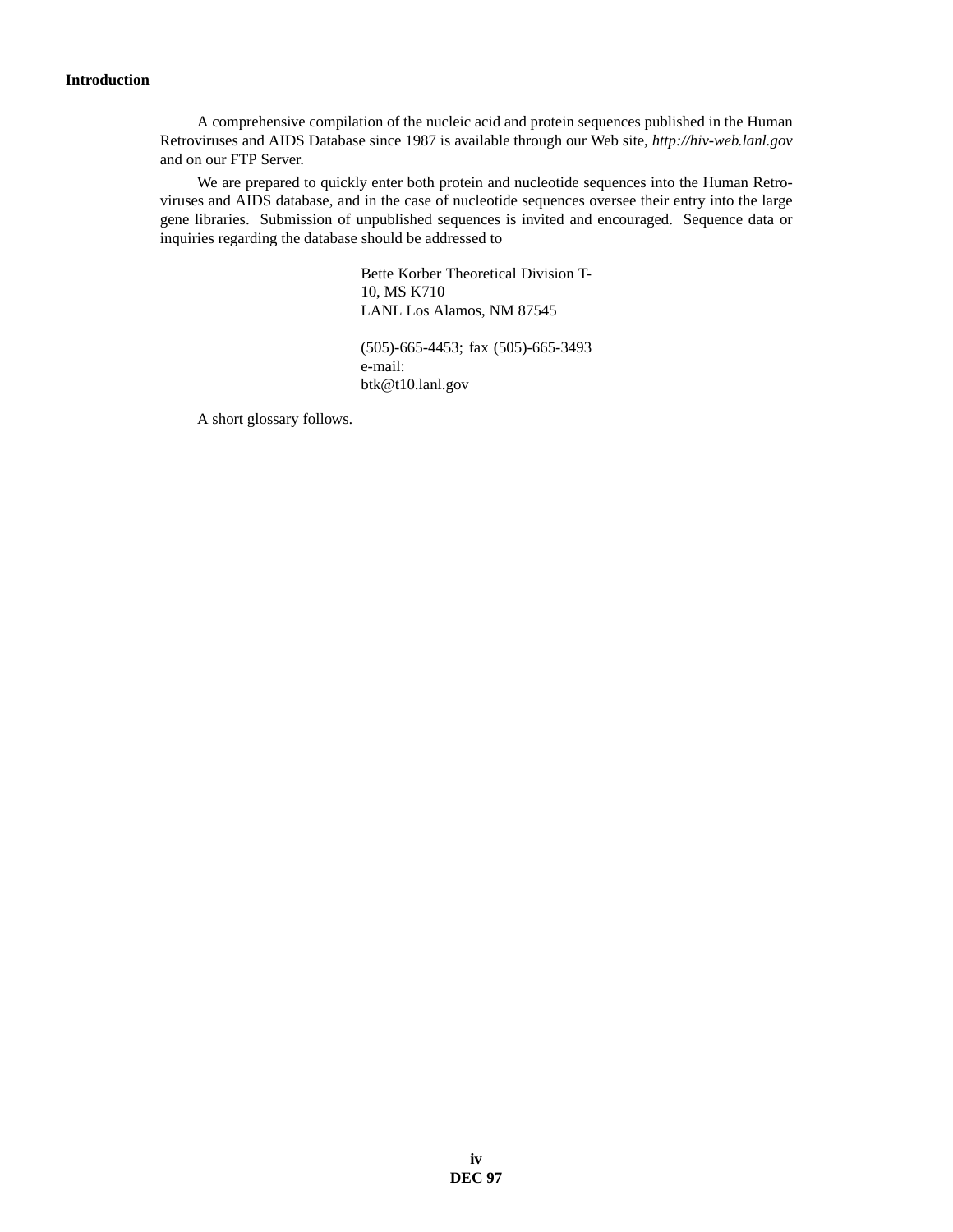### **Introduction**

A comprehensive compilation of the nucleic acid and protein sequences published in the Human Retroviruses and AIDS Database since 1987 is available through our Web site, *http://hiv-web.lanl.gov* and on our FTP Server.

We are prepared to quickly enter both protein and nucleotide sequences into the Human Retroviruses and AIDS database, and in the case of nucleotide sequences oversee their entry into the large gene libraries. Submission of unpublished sequences is invited and encouraged. Sequence data or inquiries regarding the database should be addressed to

> Bette Korber Theoretical Division T-10, MS K710 LANL Los Alamos, NM 87545

> (505)-665-4453; fax (505)-665-3493 e-mail: btk@t10.lanl.gov

A short glossary follows.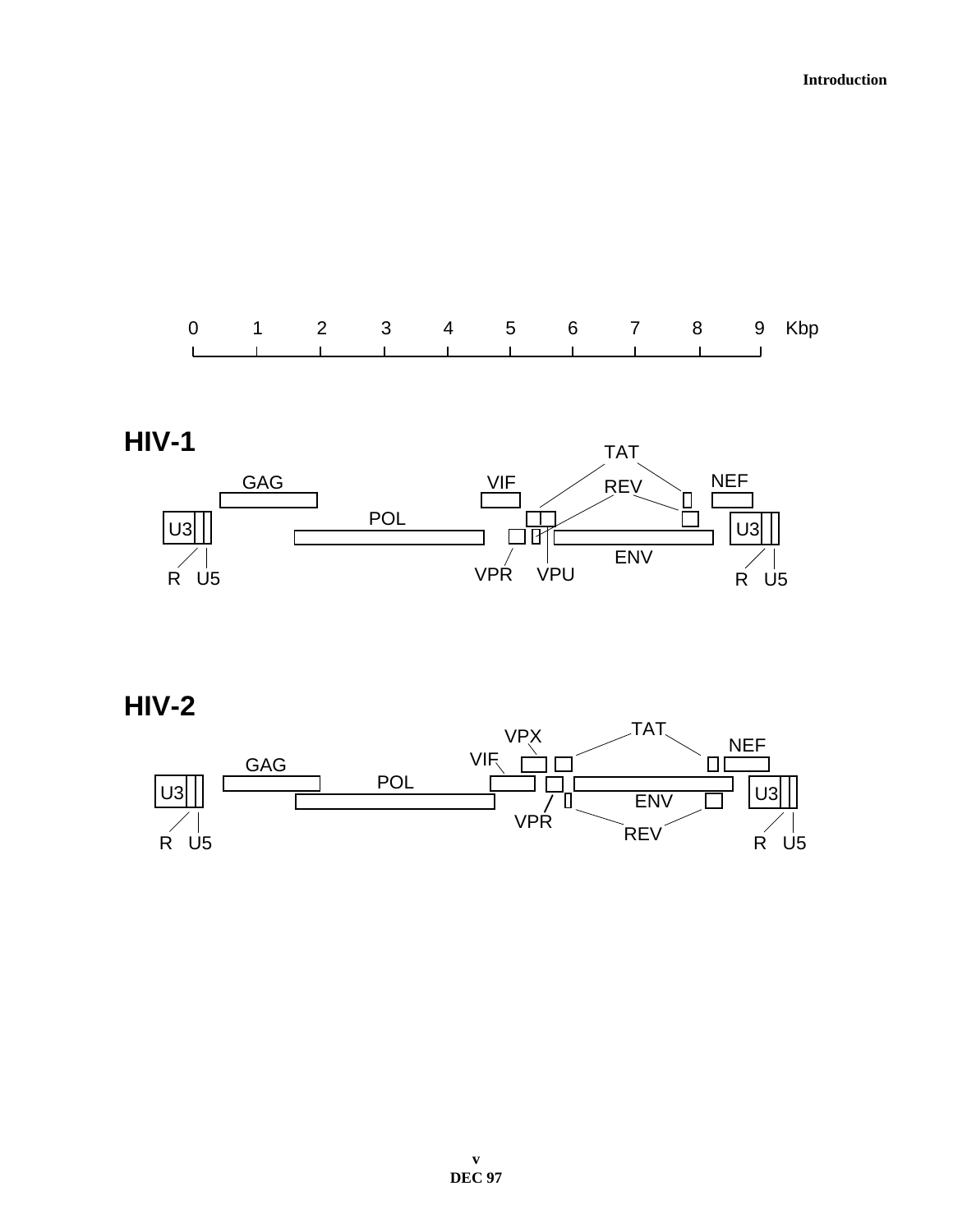



**HIV-2**

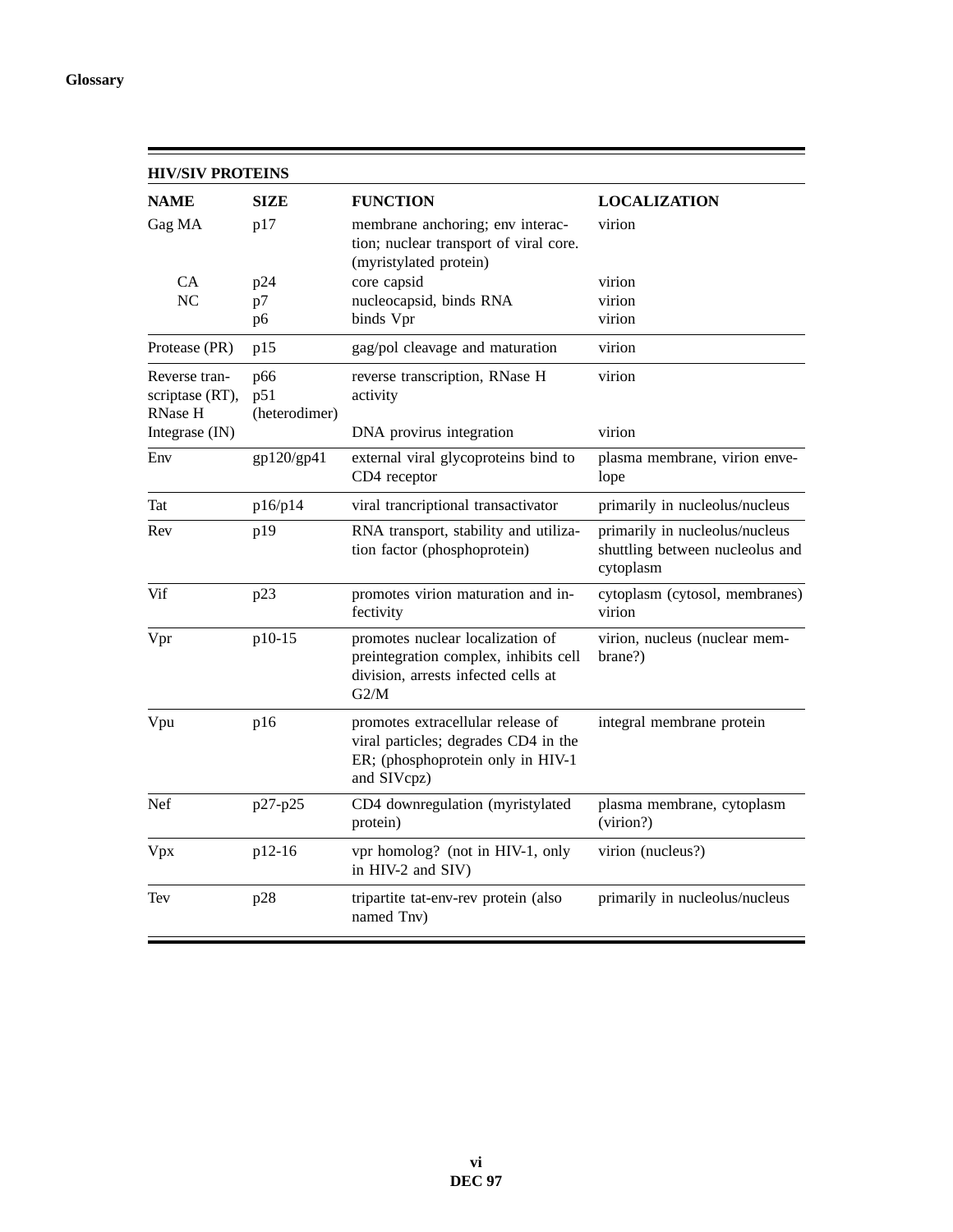$\blacksquare$ 

| <b>HIV/SIV PROTEINS</b>                            |                             |                                                                                                                               |                                                                                |  |
|----------------------------------------------------|-----------------------------|-------------------------------------------------------------------------------------------------------------------------------|--------------------------------------------------------------------------------|--|
| <b>NAME</b>                                        | SIZE                        | <b>FUNCTION</b>                                                                                                               | <b>LOCALIZATION</b>                                                            |  |
| Gag MA                                             | p17                         | membrane anchoring; env interac-<br>tion; nuclear transport of viral core.<br>(myristylated protein)                          | virion                                                                         |  |
| CA                                                 | p24                         | core capsid                                                                                                                   | virion                                                                         |  |
| N <sub>C</sub>                                     | p7                          | nucleocapsid, binds RNA                                                                                                       | virion                                                                         |  |
|                                                    | p <sub>6</sub>              | binds Vpr                                                                                                                     | virion                                                                         |  |
| Protease (PR)                                      | p15                         | gag/pol cleavage and maturation                                                                                               | virion                                                                         |  |
| Reverse tran-<br>scriptase (RT),<br><b>RNase H</b> | p66<br>p51<br>(heterodimer) | reverse transcription, RNase H<br>activity                                                                                    | virion                                                                         |  |
| Integrase (IN)                                     |                             | DNA provirus integration                                                                                                      | virion                                                                         |  |
| Env                                                | gp120/gp41                  | external viral glycoproteins bind to<br>CD4 receptor                                                                          | plasma membrane, virion enve-<br>lope                                          |  |
| Tat                                                | p16/p14                     | viral trancriptional transactivator                                                                                           | primarily in nucleolus/nucleus                                                 |  |
| Rev                                                | p19                         | RNA transport, stability and utiliza-<br>tion factor (phosphoprotein)                                                         | primarily in nucleolus/nucleus<br>shuttling between nucleolus and<br>cytoplasm |  |
| Vif                                                | p23                         | promotes virion maturation and in-<br>fectivity                                                                               | cytoplasm (cytosol, membranes)<br>virion                                       |  |
| Vpr                                                | p10-15                      | promotes nuclear localization of<br>preintegration complex, inhibits cell<br>division, arrests infected cells at<br>G2/M      | virion, nucleus (nuclear mem-<br>brane?)                                       |  |
| Vpu                                                | p16                         | promotes extracellular release of<br>viral particles; degrades CD4 in the<br>ER; (phosphoprotein only in HIV-1<br>and SIVcpz) | integral membrane protein                                                      |  |
| Nef                                                | p27-p25                     | CD4 downregulation (myristylated<br>protein)                                                                                  | plasma membrane, cytoplasm<br>(virion?)                                        |  |
| Vpx                                                | p12-16                      | vpr homolog? (not in HIV-1, only<br>in HIV-2 and SIV)                                                                         | virion (nucleus?)                                                              |  |
| Tev                                                | p28                         | tripartite tat-env-rev protein (also<br>named Tnv)                                                                            | primarily in nucleolus/nucleus                                                 |  |

=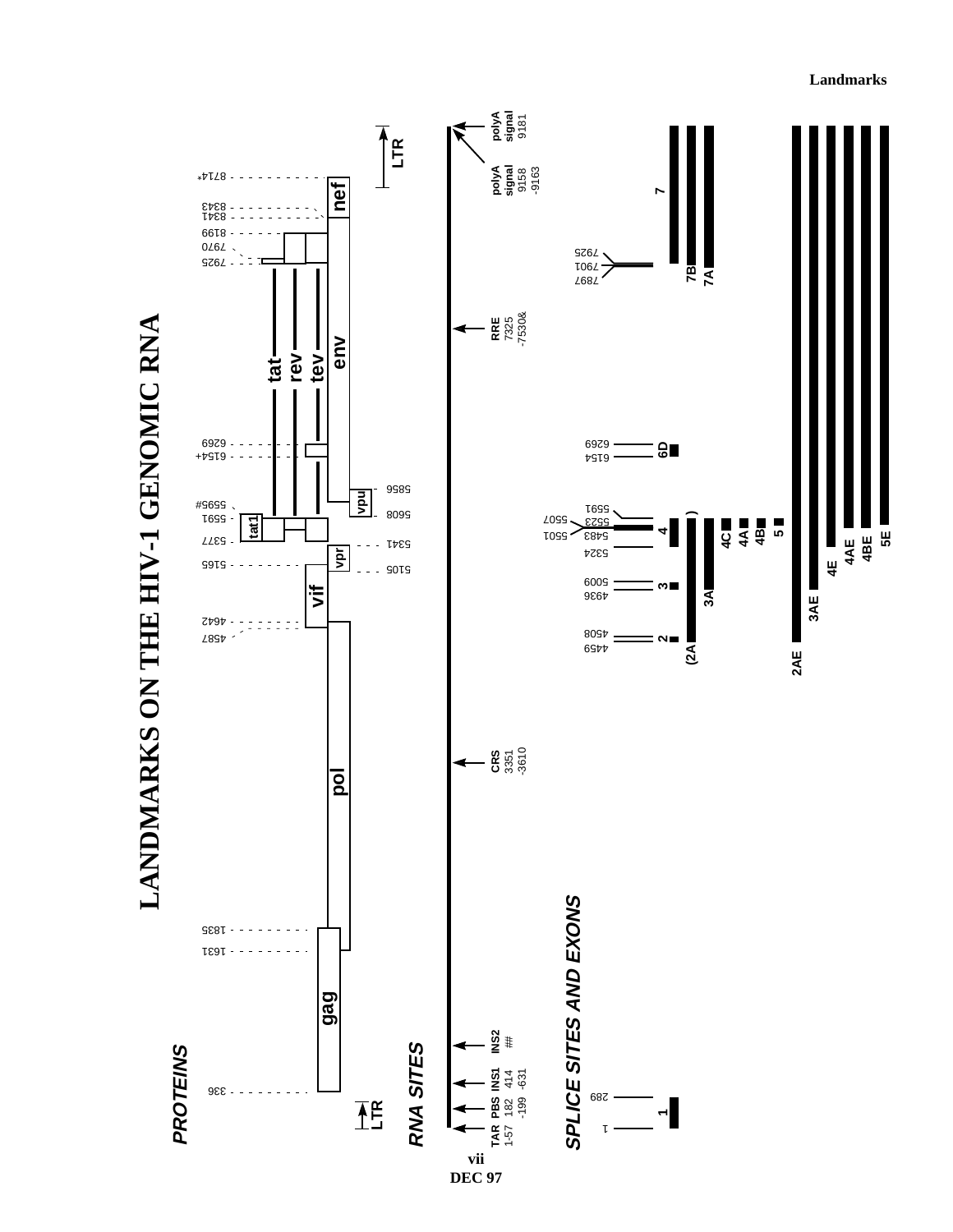**Landmarks**

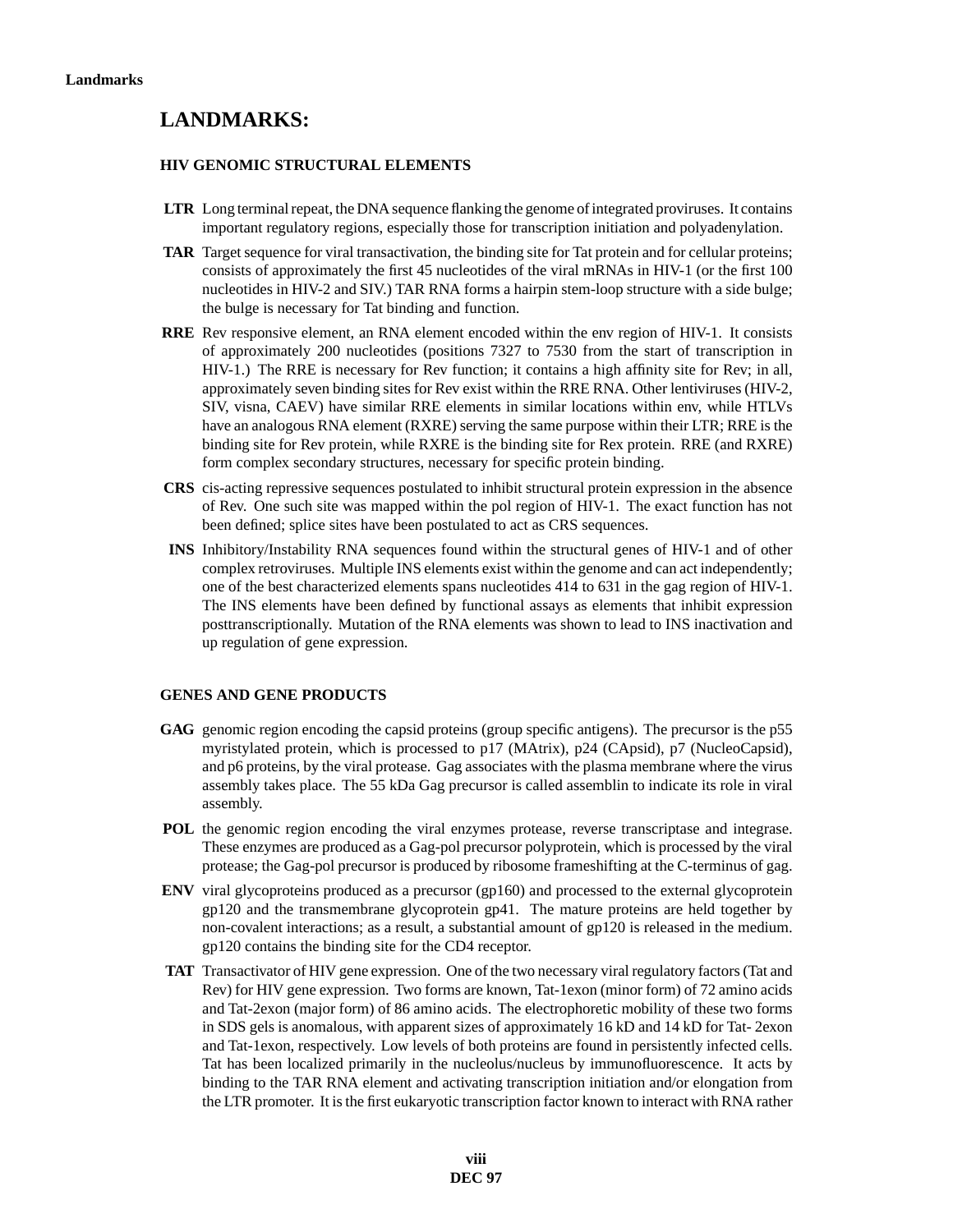## **LANDMARKS:**

### **HIV GENOMIC STRUCTURAL ELEMENTS**

- **LTR** Long terminal repeat, the DNA sequence flanking the genome of integrated proviruses. It contains important regulatory regions, especially those for transcription initiation and polyadenylation.
- **TAR** Target sequence for viral transactivation, the binding site for Tat protein and for cellular proteins; consists of approximately the first 45 nucleotides of the viral mRNAs in HIV-1 (or the first 100 nucleotides in HIV-2 and SIV.) TAR RNA forms a hairpin stem-loop structure with a side bulge; the bulge is necessary for Tat binding and function.
- **RRE** Rev responsive element, an RNA element encoded within the env region of HIV-1. It consists of approximately 200 nucleotides (positions 7327 to 7530 from the start of transcription in HIV-1.) The RRE is necessary for Rev function; it contains a high affinity site for Rev; in all, approximately seven binding sites for Rev exist within the RRE RNA. Other lentiviruses (HIV-2, SIV, visna, CAEV) have similar RRE elements in similar locations within env, while HTLVs have an analogous RNA element (RXRE) serving the same purpose within their LTR; RRE is the binding site for Rev protein, while RXRE is the binding site for Rex protein. RRE (and RXRE) form complex secondary structures, necessary for specific protein binding.
- **CRS** cis-acting repressive sequences postulated to inhibit structural protein expression in the absence of Rev. One such site was mapped within the pol region of HIV-1. The exact function has not been defined; splice sites have been postulated to act as CRS sequences.
- **INS** Inhibitory/Instability RNA sequences found within the structural genes of HIV-1 and of other complex retroviruses. Multiple INS elements exist within the genome and can act independently; one of the best characterized elements spans nucleotides 414 to 631 in the gag region of HIV-1. The INS elements have been defined by functional assays as elements that inhibit expression posttranscriptionally. Mutation of the RNA elements was shown to lead to INS inactivation and up regulation of gene expression.

### **GENES AND GENE PRODUCTS**

- **GAG** genomic region encoding the capsid proteins (group specific antigens). The precursor is the p55 myristylated protein, which is processed to p17 (MAtrix), p24 (CApsid), p7 (NucleoCapsid), and p6 proteins, by the viral protease. Gag associates with the plasma membrane where the virus assembly takes place. The 55 kDa Gag precursor is called assemblin to indicate its role in viral assembly.
- POL the genomic region encoding the viral enzymes protease, reverse transcriptase and integrase. These enzymes are produced as a Gag-pol precursor polyprotein, which is processed by the viral protease; the Gag-pol precursor is produced by ribosome frameshifting at the C-terminus of gag.
- **ENV** viral glycoproteins produced as a precursor (gp160) and processed to the external glycoprotein gp120 and the transmembrane glycoprotein gp41. The mature proteins are held together by non-covalent interactions; as a result, a substantial amount of gp120 is released in the medium. gp120 contains the binding site for the CD4 receptor.
- **TAT** Transactivator of HIV gene expression. One of the two necessary viral regulatory factors (Tat and Rev) for HIV gene expression. Two forms are known, Tat-1exon (minor form) of 72 amino acids and Tat-2exon (major form) of 86 amino acids. The electrophoretic mobility of these two forms in SDS gels is anomalous, with apparent sizes of approximately 16 kD and 14 kD for Tat- 2exon and Tat-1exon, respectively. Low levels of both proteins are found in persistently infected cells. Tat has been localized primarily in the nucleolus/nucleus by immunofluorescence. It acts by binding to the TAR RNA element and activating transcription initiation and/or elongation from the LTR promoter. It is the first eukaryotic transcription factor known to interact with RNA rather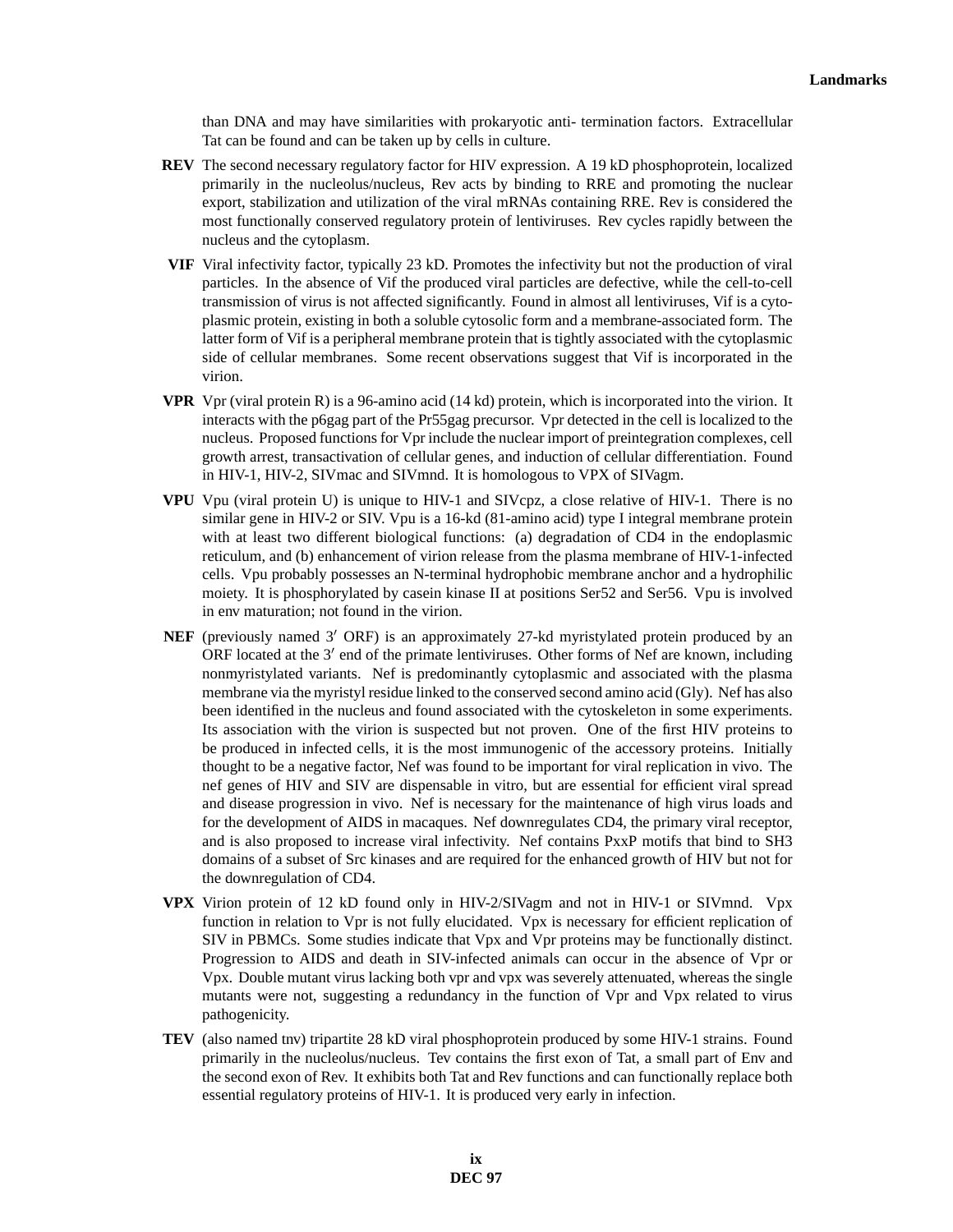than DNA and may have similarities with prokaryotic anti- termination factors. Extracellular Tat can be found and can be taken up by cells in culture.

- **REV** The second necessary regulatory factor for HIV expression. A 19 kD phosphoprotein, localized primarily in the nucleolus/nucleus, Rev acts by binding to RRE and promoting the nuclear export, stabilization and utilization of the viral mRNAs containing RRE. Rev is considered the most functionally conserved regulatory protein of lentiviruses. Rev cycles rapidly between the nucleus and the cytoplasm.
- **VIF** Viral infectivity factor, typically 23 kD. Promotes the infectivity but not the production of viral particles. In the absence of Vif the produced viral particles are defective, while the cell-to-cell transmission of virus is not affected significantly. Found in almost all lentiviruses, Vif is a cytoplasmic protein, existing in both a soluble cytosolic form and a membrane-associated form. The latter form of Vif is a peripheral membrane protein that is tightly associated with the cytoplasmic side of cellular membranes. Some recent observations suggest that Vif is incorporated in the virion.
- **VPR** Vpr (viral protein R) is a 96-amino acid (14 kd) protein, which is incorporated into the virion. It interacts with the p6gag part of the Pr55gag precursor. Vpr detected in the cell is localized to the nucleus. Proposed functions for Vpr include the nuclear import of preintegration complexes, cell growth arrest, transactivation of cellular genes, and induction of cellular differentiation. Found in HIV-1, HIV-2, SIVmac and SIVmnd. It is homologous to VPX of SIVagm.
- **VPU** Vpu (viral protein U) is unique to HIV-1 and SIVcpz, a close relative of HIV-1. There is no similar gene in HIV-2 or SIV. Vpu is a 16-kd (81-amino acid) type I integral membrane protein with at least two different biological functions: (a) degradation of CD4 in the endoplasmic reticulum, and (b) enhancement of virion release from the plasma membrane of HIV-1-infected cells. Vpu probably possesses an N-terminal hydrophobic membrane anchor and a hydrophilic moiety. It is phosphorylated by casein kinase II at positions Ser52 and Ser56. Vpu is involved in env maturation; not found in the virion.
- **NEF** (previously named 3' ORF) is an approximately 27-kd myristylated protein produced by an ORF located at the  $3'$  end of the primate lentiviruses. Other forms of Nef are known, including nonmyristylated variants. Nef is predominantly cytoplasmic and associated with the plasma membrane via the myristyl residue linked to the conserved second amino acid (Gly). Nef has also been identified in the nucleus and found associated with the cytoskeleton in some experiments. Its association with the virion is suspected but not proven. One of the first HIV proteins to be produced in infected cells, it is the most immunogenic of the accessory proteins. Initially thought to be a negative factor, Nef was found to be important for viral replication in vivo. The nef genes of HIV and SIV are dispensable in vitro, but are essential for efficient viral spread and disease progression in vivo. Nef is necessary for the maintenance of high virus loads and for the development of AIDS in macaques. Nef downregulates CD4, the primary viral receptor, and is also proposed to increase viral infectivity. Nef contains PxxP motifs that bind to SH3 domains of a subset of Src kinases and are required for the enhanced growth of HIV but not for the downregulation of CD4.
- **VPX** Virion protein of 12 kD found only in HIV-2/SIVagm and not in HIV-1 or SIVmnd. Vpx function in relation to Vpr is not fully elucidated. Vpx is necessary for efficient replication of SIV in PBMCs. Some studies indicate that Vpx and Vpr proteins may be functionally distinct. Progression to AIDS and death in SIV-infected animals can occur in the absence of Vpr or Vpx. Double mutant virus lacking both vpr and vpx was severely attenuated, whereas the single mutants were not, suggesting a redundancy in the function of Vpr and Vpx related to virus pathogenicity.
- **TEV** (also named tnv) tripartite 28 kD viral phosphoprotein produced by some HIV-1 strains. Found primarily in the nucleolus/nucleus. Tev contains the first exon of Tat, a small part of Env and the second exon of Rev. It exhibits both Tat and Rev functions and can functionally replace both essential regulatory proteins of HIV-1. It is produced very early in infection.